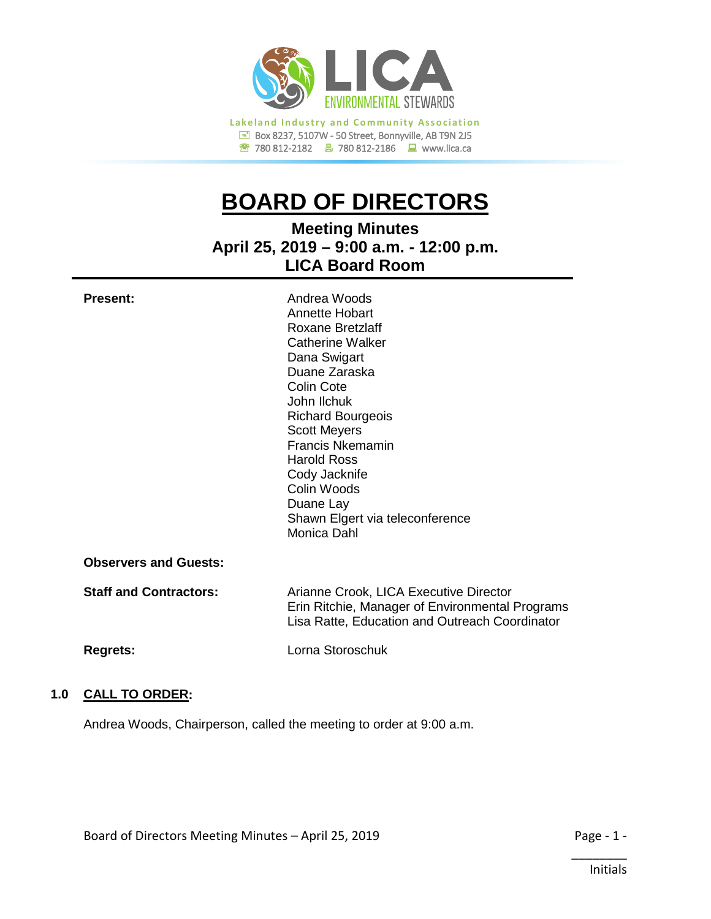

# **BOARD OF DIRECTORS**

**Meeting Minutes April 25, 2019 – 9:00 a.m. - 12:00 p.m. LICA Board Room**

| <b>Present:</b>               | Andrea Woods<br>Annette Hobart<br>Roxane Bretzlaff<br>Catherine Walker<br>Dana Swigart<br>Duane Zaraska<br>Colin Cote<br>John Ilchuk<br><b>Richard Bourgeois</b><br><b>Scott Meyers</b><br><b>Francis Nkemamin</b><br><b>Harold Ross</b><br>Cody Jacknife<br>Colin Woods<br>Duane Lay<br>Shawn Elgert via teleconference<br>Monica Dahl |
|-------------------------------|-----------------------------------------------------------------------------------------------------------------------------------------------------------------------------------------------------------------------------------------------------------------------------------------------------------------------------------------|
| <b>Observers and Guests:</b>  |                                                                                                                                                                                                                                                                                                                                         |
| <b>Staff and Contractors:</b> | Arianne Crook, LICA Executive Director<br>Erin Ritchie, Manager of Environmental Programs<br>Lisa Ratte, Education and Outreach Coordinator                                                                                                                                                                                             |
| <b>Regrets:</b>               | Lorna Storoschuk                                                                                                                                                                                                                                                                                                                        |

# **1.0 CALL TO ORDER:**

Andrea Woods, Chairperson, called the meeting to order at 9:00 a.m.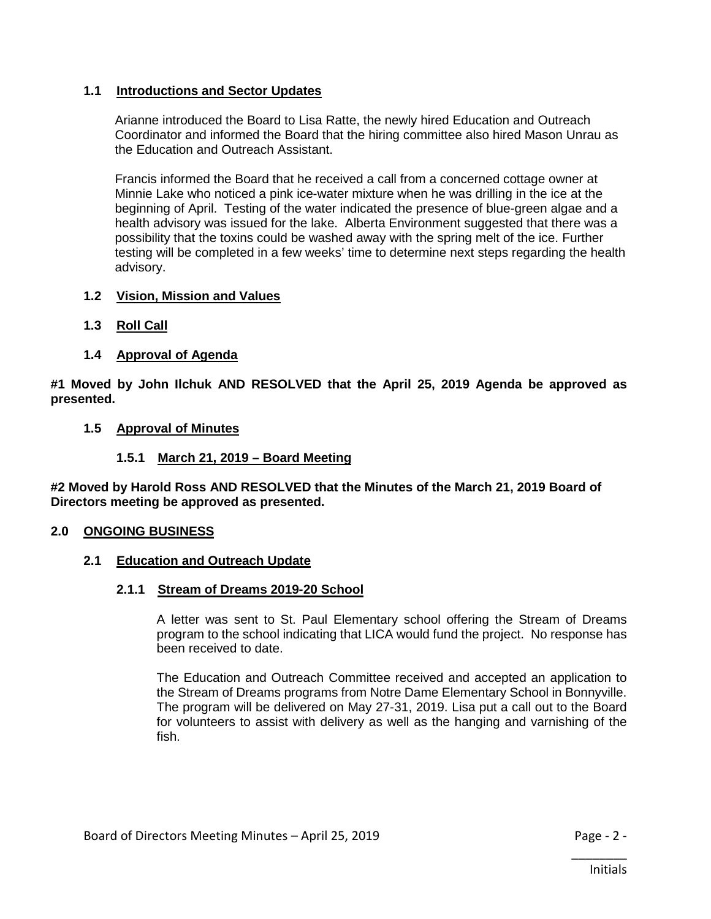# **1.1 Introductions and Sector Updates**

Arianne introduced the Board to Lisa Ratte, the newly hired Education and Outreach Coordinator and informed the Board that the hiring committee also hired Mason Unrau as the Education and Outreach Assistant.

Francis informed the Board that he received a call from a concerned cottage owner at Minnie Lake who noticed a pink ice-water mixture when he was drilling in the ice at the beginning of April. Testing of the water indicated the presence of blue-green algae and a health advisory was issued for the lake. Alberta Environment suggested that there was a possibility that the toxins could be washed away with the spring melt of the ice. Further testing will be completed in a few weeks' time to determine next steps regarding the health advisory.

# **1.2 Vision, Mission and Values**

- **1.3 Roll Call**
- **1.4 Approval of Agenda**

**#1 Moved by John Ilchuk AND RESOLVED that the April 25, 2019 Agenda be approved as presented.**

#### **1.5 Approval of Minutes**

#### **1.5.1 March 21, 2019 – Board Meeting**

**#2 Moved by Harold Ross AND RESOLVED that the Minutes of the March 21, 2019 Board of Directors meeting be approved as presented.**

#### **2.0 ONGOING BUSINESS**

# **2.1 Education and Outreach Update**

#### **2.1.1 Stream of Dreams 2019-20 School**

A letter was sent to St. Paul Elementary school offering the Stream of Dreams program to the school indicating that LICA would fund the project. No response has been received to date.

The Education and Outreach Committee received and accepted an application to the Stream of Dreams programs from Notre Dame Elementary School in Bonnyville. The program will be delivered on May 27-31, 2019. Lisa put a call out to the Board for volunteers to assist with delivery as well as the hanging and varnishing of the fish.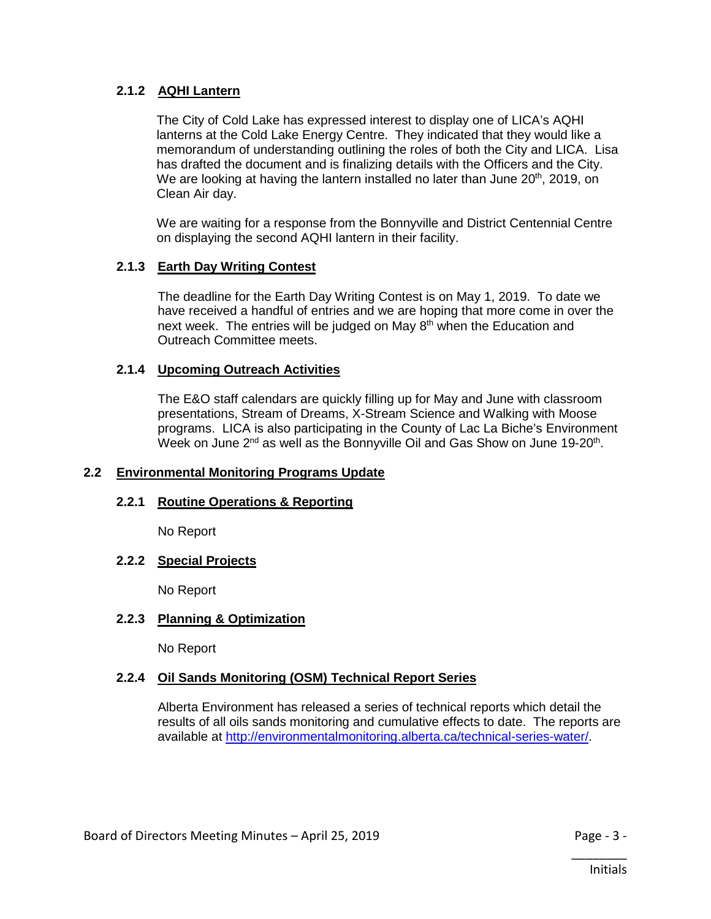# **2.1.2 AQHI Lantern**

The City of Cold Lake has expressed interest to display one of LICA's AQHI lanterns at the Cold Lake Energy Centre. They indicated that they would like a memorandum of understanding outlining the roles of both the City and LICA. Lisa has drafted the document and is finalizing details with the Officers and the City. We are looking at having the lantern installed no later than June 20<sup>th</sup>, 2019, on Clean Air day.

We are waiting for a response from the Bonnyville and District Centennial Centre on displaying the second AQHI lantern in their facility.

# **2.1.3 Earth Day Writing Contest**

The deadline for the Earth Day Writing Contest is on May 1, 2019. To date we have received a handful of entries and we are hoping that more come in over the next week. The entries will be judged on May  $8<sup>th</sup>$  when the Education and Outreach Committee meets.

# **2.1.4 Upcoming Outreach Activities**

The E&O staff calendars are quickly filling up for May and June with classroom presentations, Stream of Dreams, X-Stream Science and Walking with Moose programs. LICA is also participating in the County of Lac La Biche's Environment Week on June  $2^{nd}$  as well as the Bonnyville Oil and Gas Show on June 19-20<sup>th</sup>.

# **2.2 Environmental Monitoring Programs Update**

# **2.2.1 Routine Operations & Reporting**

No Report

# **2.2.2 Special Projects**

No Report

# **2.2.3 Planning & Optimization**

No Report

# **2.2.4 Oil Sands Monitoring (OSM) Technical Report Series**

Alberta Environment has released a series of technical reports which detail the results of all oils sands monitoring and cumulative effects to date. The reports are available at [http://environmentalmonitoring.alberta.ca/technical-series-water/.](http://environmentalmonitoring.alberta.ca/technical-series-water/)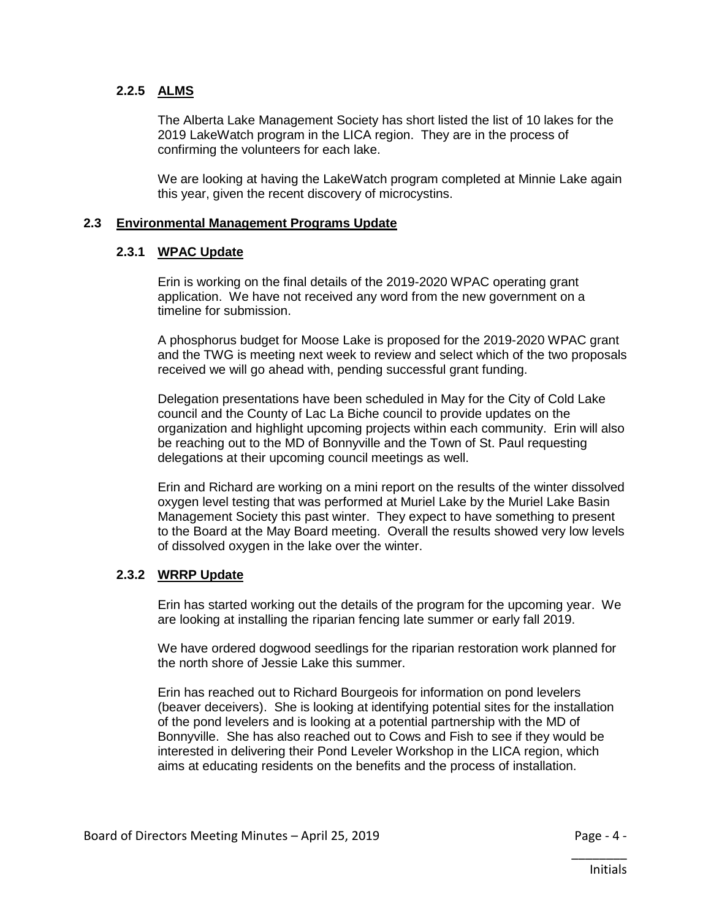# **2.2.5 ALMS**

The Alberta Lake Management Society has short listed the list of 10 lakes for the 2019 LakeWatch program in the LICA region. They are in the process of confirming the volunteers for each lake.

We are looking at having the LakeWatch program completed at Minnie Lake again this year, given the recent discovery of microcystins.

# **2.3 Environmental Management Programs Update**

#### **2.3.1 WPAC Update**

Erin is working on the final details of the 2019-2020 WPAC operating grant application. We have not received any word from the new government on a timeline for submission.

A phosphorus budget for Moose Lake is proposed for the 2019-2020 WPAC grant and the TWG is meeting next week to review and select which of the two proposals received we will go ahead with, pending successful grant funding.

Delegation presentations have been scheduled in May for the City of Cold Lake council and the County of Lac La Biche council to provide updates on the organization and highlight upcoming projects within each community. Erin will also be reaching out to the MD of Bonnyville and the Town of St. Paul requesting delegations at their upcoming council meetings as well.

Erin and Richard are working on a mini report on the results of the winter dissolved oxygen level testing that was performed at Muriel Lake by the Muriel Lake Basin Management Society this past winter. They expect to have something to present to the Board at the May Board meeting. Overall the results showed very low levels of dissolved oxygen in the lake over the winter.

# **2.3.2 WRRP Update**

Erin has started working out the details of the program for the upcoming year. We are looking at installing the riparian fencing late summer or early fall 2019.

We have ordered dogwood seedlings for the riparian restoration work planned for the north shore of Jessie Lake this summer.

Erin has reached out to Richard Bourgeois for information on pond levelers (beaver deceivers). She is looking at identifying potential sites for the installation of the pond levelers and is looking at a potential partnership with the MD of Bonnyville. She has also reached out to Cows and Fish to see if they would be interested in delivering their Pond Leveler Workshop in the LICA region, which aims at educating residents on the benefits and the process of installation.

\_\_\_\_\_\_\_\_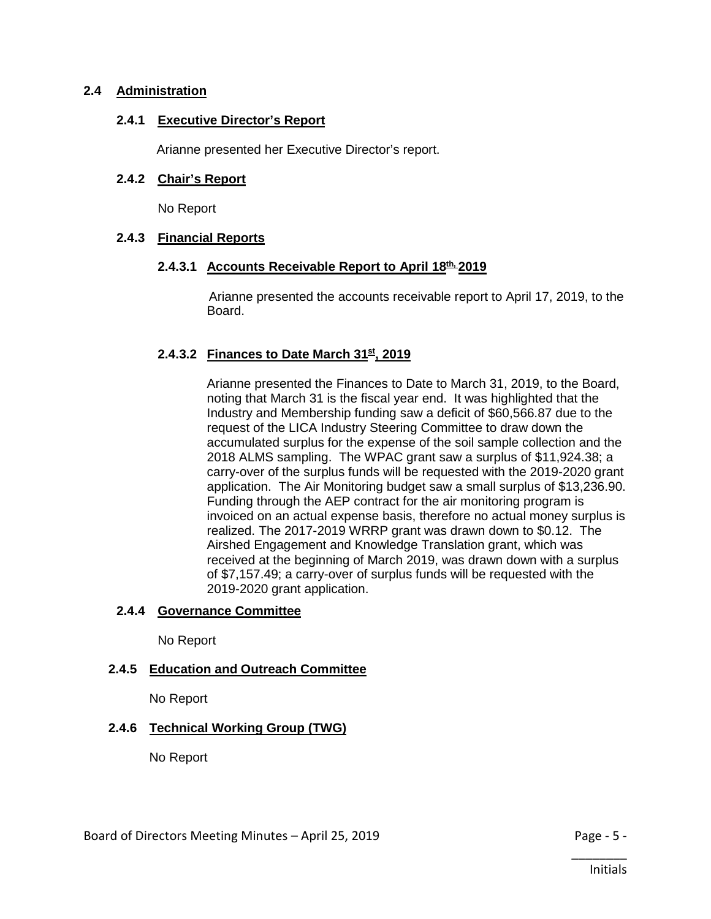# **2.4 Administration**

#### **2.4.1 Executive Director's Report**

Arianne presented her Executive Director's report.

## **2.4.2 Chair's Report**

No Report

#### **2.4.3 Financial Reports**

#### **2.4.3.1 Accounts Receivable Report to April 18th, 2019**

Arianne presented the accounts receivable report to April 17, 2019, to the Board.

# **2.4.3.2 Finances to Date March 31st, 2019**

Arianne presented the Finances to Date to March 31, 2019, to the Board, noting that March 31 is the fiscal year end. It was highlighted that the Industry and Membership funding saw a deficit of \$60,566.87 due to the request of the LICA Industry Steering Committee to draw down the accumulated surplus for the expense of the soil sample collection and the 2018 ALMS sampling. The WPAC grant saw a surplus of \$11,924.38; a carry-over of the surplus funds will be requested with the 2019-2020 grant application. The Air Monitoring budget saw a small surplus of \$13,236.90. Funding through the AEP contract for the air monitoring program is invoiced on an actual expense basis, therefore no actual money surplus is realized. The 2017-2019 WRRP grant was drawn down to \$0.12. The Airshed Engagement and Knowledge Translation grant, which was received at the beginning of March 2019, was drawn down with a surplus of \$7,157.49; a carry-over of surplus funds will be requested with the 2019-2020 grant application.

#### **2.4.4 Governance Committee**

No Report

# **2.4.5 Education and Outreach Committee**

No Report

# **2.4.6 Technical Working Group (TWG)**

No Report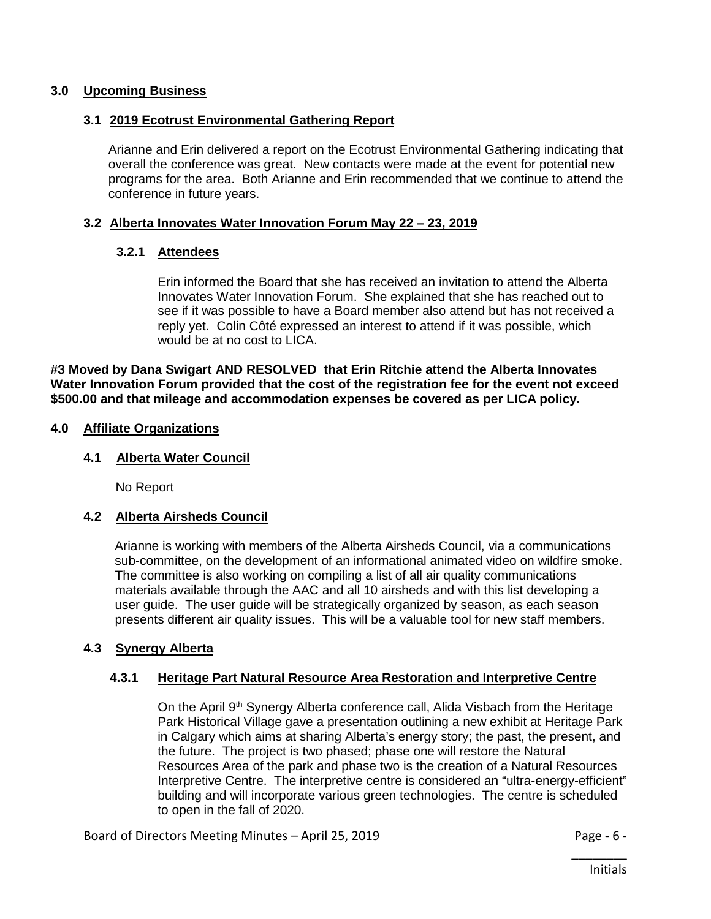## **3.0 Upcoming Business**

#### **3.1 2019 Ecotrust Environmental Gathering Report**

Arianne and Erin delivered a report on the Ecotrust Environmental Gathering indicating that overall the conference was great. New contacts were made at the event for potential new programs for the area. Both Arianne and Erin recommended that we continue to attend the conference in future years.

#### **3.2 Alberta Innovates Water Innovation Forum May 22 – 23, 2019**

#### **3.2.1 Attendees**

Erin informed the Board that she has received an invitation to attend the Alberta Innovates Water Innovation Forum. She explained that she has reached out to see if it was possible to have a Board member also attend but has not received a reply yet. Colin Côté expressed an interest to attend if it was possible, which would be at no cost to LICA.

**#3 Moved by Dana Swigart AND RESOLVED that Erin Ritchie attend the Alberta Innovates Water Innovation Forum provided that the cost of the registration fee for the event not exceed \$500.00 and that mileage and accommodation expenses be covered as per LICA policy.**

#### **4.0 Affiliate Organizations**

#### **4.1 Alberta Water Council**

No Report

# **4.2 Alberta Airsheds Council**

Arianne is working with members of the Alberta Airsheds Council, via a communications sub-committee, on the development of an informational animated video on wildfire smoke. The committee is also working on compiling a list of all air quality communications materials available through the AAC and all 10 airsheds and with this list developing a user guide. The user guide will be strategically organized by season, as each season presents different air quality issues. This will be a valuable tool for new staff members.

# **4.3 Synergy Alberta**

# **4.3.1 Heritage Part Natural Resource Area Restoration and Interpretive Centre**

On the April  $9<sup>th</sup>$  Synergy Alberta conference call, Alida Visbach from the Heritage Park Historical Village gave a presentation outlining a new exhibit at Heritage Park in Calgary which aims at sharing Alberta's energy story; the past, the present, and the future. The project is two phased; phase one will restore the Natural Resources Area of the park and phase two is the creation of a Natural Resources Interpretive Centre. The interpretive centre is considered an "ultra-energy-efficient" building and will incorporate various green technologies. The centre is scheduled to open in the fall of 2020.

Board of Directors Meeting Minutes – April 25, 2019 **Page - 6 -** Page - 6 -

\_\_\_\_\_\_\_\_